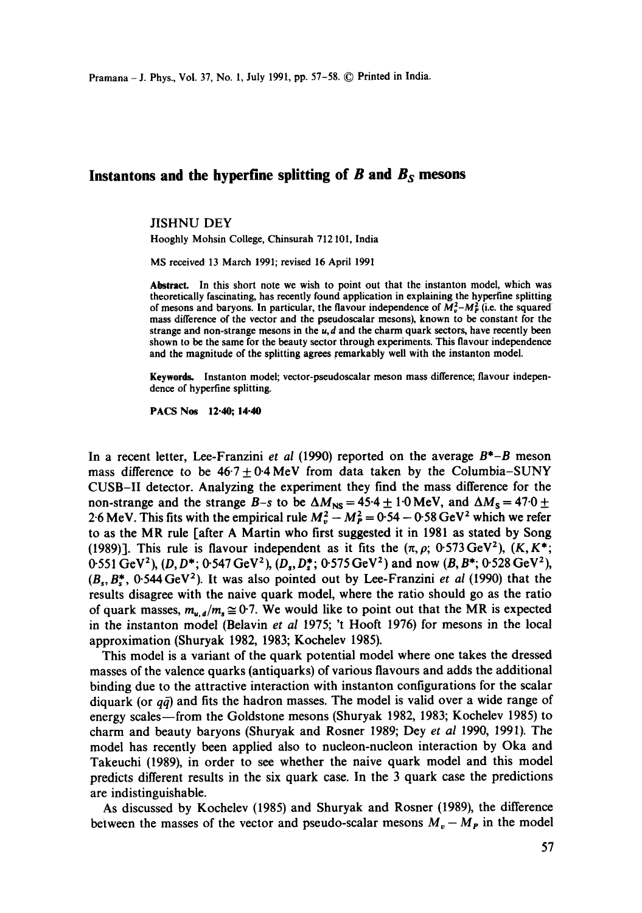Pramana- J. Phys., Vol. 37, No. 1, July 1991, pp. 57-58. © Printed in India.

# **Instantons and the hyperfine splitting of B and** *Bs* **mesons**

### JISHNU DEY

Hooghly Mohsin College, Chinsurah 712101, India

MS received 13 March 1991; revised 16 April 1991

Abstract. In this short note we wish to point out that the instanton model, which was theoretically fascinating, has recently found application in explaining the hyperfine splitting of mesons and baryons. In particular, the flavour independence of  $M_p^2 - M_p^2$  (i.e. the squared mass difference of the vector and the pseudoscalar mesons), known to be constant for the strange and non-strange mesons in the  $u, d$  and the charm quark sectors, have recently been shown to be the same for the beauty sector through experiments. This flavour independence and the magnitude of the splitting agrees remarkably well with the instanton model.

Keywords. Instanton model; vector-pseudoscalar meson mass difference; flavour independence of hyperfine splitting.

PACS Nos 12.40; 14-40

In a recent letter, Lee-Franzini *et al* (1990) reported on the average *B\*-B* meson mass difference to be  $46.7 \pm 0.4$  MeV from data taken by the Columbia–SUNY CUSB-II detector. Analyzing the experiment they find the mass difference for the non-strange and the strange *B*-s to be  $\Delta M_{\text{NS}} = 45.4 \pm 1.0 \text{ MeV}$ , and  $\Delta M_{\text{S}} = 47.0 \pm 1.0 \text{ MeV}$ 2.6 MeV. This fits with the empirical rule  $M_v^2 - M_p^2 = 0.54 - 0.58$  GeV<sup>2</sup> which we refer to as the MR rule [after A Martin who first suggested it in 1981 as stated by Song (1989)]. This rule is flavour independent as it fits the  $(\pi, \rho; 0.573 \text{ GeV}^2)$ ,  $(K, K^*;$ 0.551 GeV<sup>2</sup>), (D, D<sup>\*</sup>; 0.547 GeV<sup>2</sup>), (D<sub>s</sub>, D<sup>\*</sup>; 0.575 GeV<sup>2</sup>) and now (B, B<sup>\*</sup>; 0.528 GeV<sup>2</sup>), *(B~,B\*,* 0-544GeV2). It was also pointed out by Lee-Franzini *et al* (1990) that the results disagree with the naive quark model, where the ratio should go as the ratio of quark masses,  $m_{u,d}/m_s \approx 0.7$ . We would like to point out that the MR is expected in the instanton model (Belavin *et al* 1975; 't Hooft 1976) for mesons in the local approximation (Shuryak 1982, 1983; Kochelev 1985).

This model is a variant of the quark potential model where one takes the dressed masses of the valence quarks (antiquarks) of various flavours and adds the additional binding due to the attractive interaction with instanton configurations for the scalar diquark (or  $q\bar{q}$ ) and fits the hadron masses. The model is valid over a wide range of energy scales—from the Goldstone mesons (Shuryak 1982, 1983; Kochelev 1985) to charm and beauty baryons (Shuryak and Rosner 1989; Dey *et al 1990,* 1991). The model has recently been applied also to nucleon-nucleon interaction by Oka and Takeuchi (1989), in order to see whether the naive quark model and this model predicts different results in the six quark case. In the 3 quark case the predictions are indistinguishable.

As discussed by Kochelev (1985) and Shuryak and Rosner (1989), the difference between the masses of the vector and pseudo-scalar mesons  $M_v - M_p$  in the model